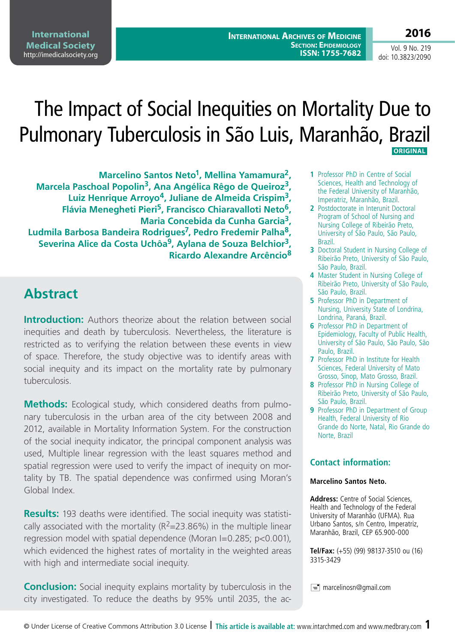**2016**

Vol. 9 No. 219 doi: 10.3823/2090

# The Impact of Social Inequities on Mortality Due to Pulmonary Tuberculosis in São Luis, Maranhão, Brazil  **ORIGINAL**

**Marcelino Santos Neto1, Mellina Yamamura2, Marcela Paschoal Popolin3, Ana Angélica Rêgo de Queiroz3, Luiz Henrique Arroyo4, Juliane de Almeida Crispim3, Flávia Menegheti Pieri5, Francisco Chiaravalloti Neto6, Maria Concebida da Cunha Garcia3, Ludmila Barbosa Bandeira Rodrigues7, Pedro Fredemir Palha8, Severina Alice da Costa Uchôa9, Aylana de Souza Belchior3, Ricardo Alexandre Arcêncio<sup>8</sup>**

## **Abstract**

**Introduction:** Authors theorize about the relation between social inequities and death by tuberculosis. Nevertheless, the literature is restricted as to verifying the relation between these events in view of space. Therefore, the study objective was to identify areas with social inequity and its impact on the mortality rate by pulmonary tuberculosis.

**Methods:** Ecological study, which considered deaths from pulmonary tuberculosis in the urban area of the city between 2008 and 2012, available in Mortality Information System. For the construction of the social inequity indicator, the principal component analysis was used, Multiple linear regression with the least squares method and spatial regression were used to verify the impact of inequity on mortality by TB. The spatial dependence was confirmed using Moran's Global Index.

**Results:** 193 deaths were identified. The social inequity was statistically associated with the mortality ( $R^2$ =23.86%) in the multiple linear regression model with spatial dependence (Moran I=0.285; p<0.001), which evidenced the highest rates of mortality in the weighted areas with high and intermediate social inequity.

**Conclusion:** Social inequity explains mortality by tuberculosis in the city investigated. To reduce the deaths by 95% until 2035, the ac-

- **1** Professor PhD in Centre of Social Sciences, Health and Technology of the Federal University of Maranhão, Imperatriz, Maranhão, Brazil.
- **2** Postdoctorate in Interunit Doctoral Program of School of Nursing and Nursing College of Ribeirão Preto, University of São Paulo, São Paulo, Brazil.
- **3** Doctoral Student in Nursing College of Ribeirão Preto, University of São Paulo, São Paulo, Brazil.
- **4** Master Student in Nursing College of Ribeirão Preto, University of São Paulo, São Paulo, Brazil.
- **5** Professor PhD in Department of Nursing, University State of Londrina, Londrina, Paraná, Brazil.
- **6** Professor PhD in Department of Epidemiology, Faculty of Public Health, University of São Paulo, São Paulo, São Paulo, Brazil.
- **7** Professor PhD in Institute for Health Sciences, Federal University of Mato Grosso, Sinop, Mato Grosso, Brazil.
- **8** Professor PhD in Nursing College of Ribeirão Preto, University of São Paulo, São Paulo, Brazil.
- **9** Professor PhD in Department of Group Health, Federal University of Rio Grande do Norte, Natal, Rio Grande do Norte, Brazil

### **Contact information:**

#### **Marcelino Santos Neto.**

**Address:** Centre of Social Sciences, Health and Technology of the Federal University of Maranhão (UFMA). Rua Urbano Santos, s/n Centro, Imperatriz, Maranhão, Brazil, CEP 65.900-000

**Tel/Fax:** (+55) (99) 98137-3510 ou (16) 3315-3429

 $\equiv$  marcelinosn@gmail.com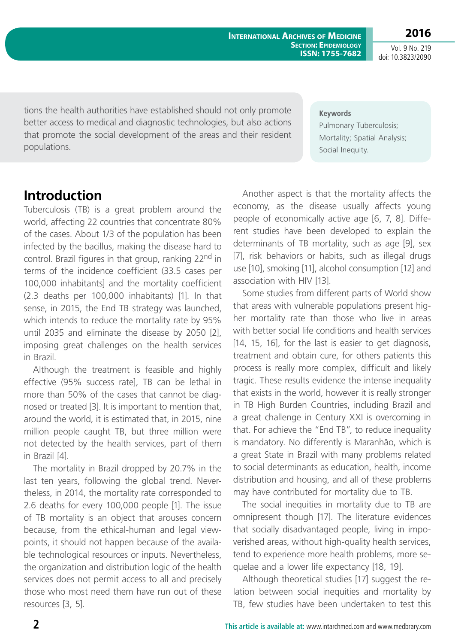**2016** Vol. 9 No. 219 doi: 10.3823/2090

tions the health authorities have established should not only promote better access to medical and diagnostic technologies, but also actions that promote the social development of the areas and their resident populations.

#### **Keywords**

Pulmonary Tuberculosis; Mortality; Spatial Analysis; Social Inequity.

### **Introduction**

Tuberculosis (TB) is a great problem around the world, affecting 22 countries that concentrate 80% of the cases. About 1/3 of the population has been infected by the bacillus, making the disease hard to control. Brazil figures in that group, ranking 22<sup>nd</sup> in terms of the incidence coefficient (33.5 cases per 100,000 inhabitants] and the mortality coefficient (2.3 deaths per 100,000 inhabitants) [1]. In that sense, in 2015, the End TB strategy was launched, which intends to reduce the mortality rate by 95% until 2035 and eliminate the disease by 2050 [2], imposing great challenges on the health services in Brazil.

Although the treatment is feasible and highly effective (95% success rate], TB can be lethal in more than 50% of the cases that cannot be diagnosed or treated [3]. It is important to mention that, around the world, it is estimated that, in 2015, nine million people caught TB, but three million were not detected by the health services, part of them in Brazil [4].

The mortality in Brazil dropped by 20.7% in the last ten years, following the global trend. Nevertheless, in 2014, the mortality rate corresponded to 2.6 deaths for every 100,000 people [1]. The issue of TB mortality is an object that arouses concern because, from the ethical-human and legal viewpoints, it should not happen because of the available technological resources or inputs. Nevertheless, the organization and distribution logic of the health services does not permit access to all and precisely those who most need them have run out of these resources [3, 5].

Another aspect is that the mortality affects the economy, as the disease usually affects young people of economically active age [6, 7, 8]. Different studies have been developed to explain the determinants of TB mortality, such as age [9], sex [7], risk behaviors or habits, such as illegal drugs use [10], smoking [11], alcohol consumption [12] and association with HIV [13].

Some studies from different parts of World show that areas with vulnerable populations present higher mortality rate than those who live in areas with better social life conditions and health services [14, 15, 16], for the last is easier to get diagnosis, treatment and obtain cure, for others patients this process is really more complex, difficult and likely tragic. These results evidence the intense inequality that exists in the world, however it is really stronger in TB High Burden Countries, including Brazil and a great challenge in Century XXI is overcoming in that. For achieve the "End TB", to reduce inequality is mandatory. No differently is Maranhão, which is a great State in Brazil with many problems related to social determinants as education, health, income distribution and housing, and all of these problems may have contributed for mortality due to TB.

The social inequities in mortality due to TB are omnipresent though [17]. The literature evidences that socially disadvantaged people, living in impoverished areas, without high-quality health services, tend to experience more health problems, more sequelae and a lower life expectancy [18, 19].

Although theoretical studies [17] suggest the relation between social inequities and mortality by TB, few studies have been undertaken to test this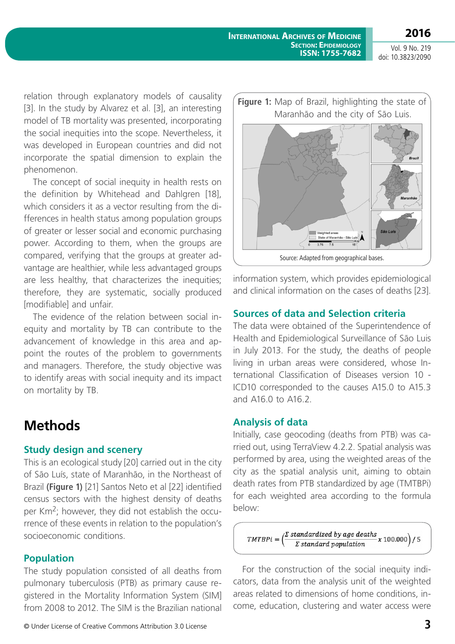**2016** Vol. 9 No. 219

doi: 10.3823/2090

relation through explanatory models of causality [3]. In the study by Alvarez et al. [3], an interesting model of TB mortality was presented, incorporating the social inequities into the scope. Nevertheless, it was developed in European countries and did not incorporate the spatial dimension to explain the phenomenon.

The concept of social inequity in health rests on the definition by Whitehead and Dahlgren [18], which considers it as a vector resulting from the differences in health status among population groups of greater or lesser social and economic purchasing power. According to them, when the groups are compared, verifying that the groups at greater advantage are healthier, while less advantaged groups are less healthy, that characterizes the inequities; therefore, they are systematic, socially produced [modifiable] and unfair.

The evidence of the relation between social inequity and mortality by TB can contribute to the advancement of knowledge in this area and appoint the routes of the problem to governments and managers. Therefore, the study objective was to identify areas with social inequity and its impact on mortality by TB.

## **Methods**

#### **Study design and scenery**

This is an ecological study [20] carried out in the city of São Luís, state of Maranhão, in the Northeast of Brazil **(Figure 1)** [21] Santos Neto et al [22] identified census sectors with the highest density of deaths per Km<sup>2</sup>; however, they did not establish the occurrence of these events in relation to the population's socioeconomic conditions.

### **Population**

The study population consisted of all deaths from pulmonary tuberculosis (PTB) as primary cause registered in the Mortality Information System (SIM] from 2008 to 2012. The SIM is the Brazilian national

© Under License of Creative Commons Attribution 3.0 License **3**



information system, which provides epidemiological and clinical information on the cases of deaths [23].

### **Sources of data and Selection criteria**

The data were obtained of the Superintendence of Health and Epidemiological Surveillance of São Luis in July 2013. For the study, the deaths of people living in urban areas were considered, whose International Classification of Diseases version 10 - ICD10 corresponded to the causes A15.0 to A15.3 and A16.0 to A16.2.

### **Analysis of data**

Initially, case geocoding (deaths from PTB) was carried out, using TerraView 4.2.2. Spatial analysis was performed by area, using the weighted areas of the city as the spatial analysis unit, aiming to obtain death rates from PTB standardized by age (TMTBPi) for each weighted area according to the formula below:

 $\left(\frac{\sum \text{ standardized by age deaths}}{\sum \text{ standard population}} x 100.000\right) / 5$  $TMTBPi =$  $\Sigma$  standard population

For the construction of the social inequity indicators, data from the analysis unit of the weighted areas related to dimensions of home conditions, income, education, clustering and water access were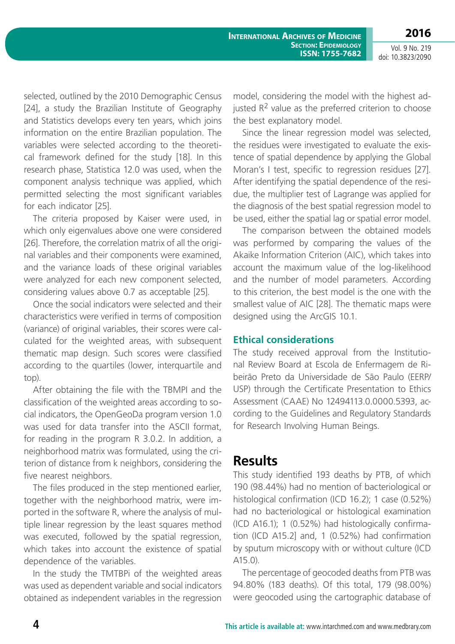**2016** Vol. 9 No. 219 doi: 10.3823/2090

selected, outlined by the 2010 Demographic Census [24], a study the Brazilian Institute of Geography and Statistics develops every ten years, which joins information on the entire Brazilian population. The variables were selected according to the theoretical framework defined for the study [18]. In this research phase, Statistica 12.0 was used, when the component analysis technique was applied, which permitted selecting the most significant variables for each indicator [25].

The criteria proposed by Kaiser were used, in which only eigenvalues above one were considered [26]. Therefore, the correlation matrix of all the original variables and their components were examined, and the variance loads of these original variables were analyzed for each new component selected, considering values above 0.7 as acceptable [25].

Once the social indicators were selected and their characteristics were verified in terms of composition (variance) of original variables, their scores were calculated for the weighted areas, with subsequent thematic map design. Such scores were classified according to the quartiles (lower, interquartile and top).

After obtaining the file with the TBMPI and the classification of the weighted areas according to social indicators, the OpenGeoDa program version 1.0 was used for data transfer into the ASCII format, for reading in the program R 3.0.2. In addition, a neighborhood matrix was formulated, using the criterion of distance from k neighbors, considering the five nearest neighbors.

The files produced in the step mentioned earlier, together with the neighborhood matrix, were imported in the software R, where the analysis of multiple linear regression by the least squares method was executed, followed by the spatial regression, which takes into account the existence of spatial dependence of the variables.

In the study the TMTBPi of the weighted areas was used as dependent variable and social indicators obtained as independent variables in the regression model, considering the model with the highest adjusted  $R^2$  value as the preferred criterion to choose the best explanatory model.

Since the linear regression model was selected, the residues were investigated to evaluate the existence of spatial dependence by applying the Global Moran's I test, specific to regression residues [27]. After identifying the spatial dependence of the residue, the multiplier test of Lagrange was applied for the diagnosis of the best spatial regression model to be used, either the spatial lag or spatial error model.

The comparison between the obtained models was performed by comparing the values of the Akaike Information Criterion (AIC), which takes into account the maximum value of the log-likelihood and the number of model parameters. According to this criterion, the best model is the one with the smallest value of AIC [28]. The thematic maps were designed using the ArcGIS 10.1.

#### **Ethical considerations**

The study received approval from the Institutional Review Board at Escola de Enfermagem de Ribeirão Preto da Universidade de São Paulo (EERP/ USP) through the Certificate Presentation to Ethics Assessment (CAAE) No 12494113.0.0000.5393, according to the Guidelines and Regulatory Standards for Research Involving Human Beings.

### **Results**

This study identified 193 deaths by PTB, of which 190 (98.44%) had no mention of bacteriological or histological confirmation (ICD 16.2); 1 case (0.52%) had no bacteriological or histological examination (ICD A16.1); 1 (0.52%) had histologically confirmation (ICD A15.2] and, 1 (0.52%) had confirmation by sputum microscopy with or without culture (ICD A15.0).

The percentage of geocoded deaths from PTB was 94.80% (183 deaths). Of this total, 179 (98.00%) were geocoded using the cartographic database of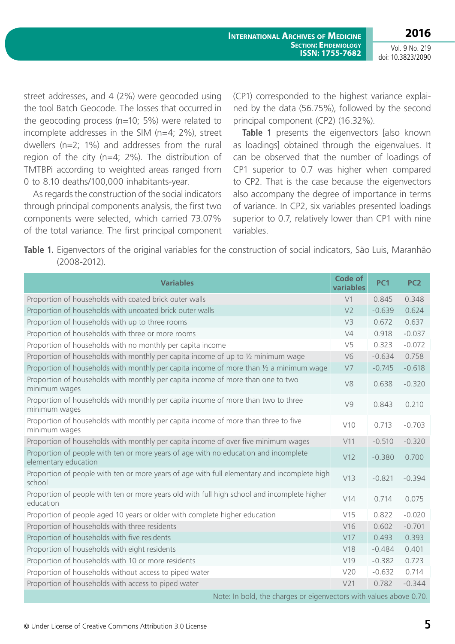Vol. 9 No. 219 doi: 10.3823/2090

street addresses, and 4 (2%) were geocoded using the tool Batch Geocode. The losses that occurred in the geocoding process (n=10; 5%) were related to incomplete addresses in the SIM (n=4; 2%), street dwellers (n=2; 1%) and addresses from the rural region of the city (n=4; 2%). The distribution of TMTBPi according to weighted areas ranged from 0 to 8.10 deaths/100,000 inhabitants-year.

As regards the construction of the social indicators through principal components analysis, the first two components were selected, which carried 73.07% of the total variance. The first principal component (CP1) corresponded to the highest variance explained by the data (56.75%), followed by the second principal component (CP2) (16.32%).

**Table 1** presents the eigenvectors [also known] as loadings] obtained through the eigenvalues. It can be observed that the number of loadings of CP1 superior to 0.7 was higher when compared to CP2. That is the case because the eigenvectors also accompany the degree of importance in terms of variance. In CP2, six variables presented loadings superior to 0.7, relatively lower than CP1 with nine variables.

**Table 1.** Eigenvectors of the original variables for the construction of social indicators, São Luis, Maranhão (2008-2012).

| <b>Variables</b>                                                                                            | Code of<br>variables | <b>PC1</b>                            | PC <sub>2</sub>      |
|-------------------------------------------------------------------------------------------------------------|----------------------|---------------------------------------|----------------------|
| Proportion of households with coated brick outer walls                                                      | V <sub>1</sub>       | 0.845                                 | 0.348                |
| Proportion of households with uncoated brick outer walls                                                    | V <sub>2</sub>       | $-0.639$                              | 0.624                |
| Proportion of households with up to three rooms                                                             | V <sub>3</sub>       | 0.672                                 | 0.637                |
| Proportion of households with three or more rooms                                                           | V <sub>4</sub>       | 0.918                                 | $-0.037$             |
| Proportion of households with no monthly per capita income                                                  | V <sub>5</sub>       | 0.323                                 | $-0.072$             |
| Proportion of households with monthly per capita income of up to 1/2 minimum wage                           | V <sub>6</sub>       | $-0.634$                              | 0.758                |
| Proportion of households with monthly per capita income of more than $\frac{1}{2}$ a minimum wage           | V <sub>7</sub>       | $-0.745$                              | $-0.618$             |
| Proportion of households with monthly per capita income of more than one to two<br>minimum wages            | V8                   | 0.638                                 | $-0.320$             |
| Proportion of households with monthly per capita income of more than two to three<br>minimum wages          | V <sub>9</sub>       | 0.843                                 | 0.210                |
| Proportion of households with monthly per capita income of more than three to five<br>minimum wages         | V10                  | 0.713                                 | $-0.703$             |
| Proportion of households with monthly per capita income of over five minimum wages                          | V11                  | $-0.510$                              | $-0.320$             |
| Proportion of people with ten or more years of age with no education and incomplete<br>elementary education | V12                  | $-0.380$                              | 0.700                |
| Proportion of people with ten or more years of age with full elementary and incomplete high<br>school       | V13                  | $-0.821$                              | $-0.394$             |
| Proportion of people with ten or more years old with full high school and incomplete higher<br>education    | V14                  | 0.714                                 | 0.075                |
| Proportion of people aged 10 years or older with complete higher education                                  | V15                  | 0.822                                 | $-0.020$             |
| Proportion of households with three residents                                                               | V16                  | 0.602                                 | $-0.701$             |
| Proportion of households with five residents                                                                | V17                  | 0.493                                 | 0.393                |
| Proportion of households with eight residents                                                               | V18                  | $-0.484$                              | 0.401                |
| Proportion of households with 10 or more residents                                                          | V19                  | $-0.382$                              | 0.723                |
| Proportion of households without access to piped water                                                      | V20                  | $-0.632$                              | 0.714                |
| Proportion of households with access to piped water                                                         | V <sub>21</sub>      | 0.782                                 | $-0.344$             |
| the company of the company of the com-                                                                      |                      | and the first state of the control of | $\sim$ $\sim$ $\sim$ |

Note: In bold, the charges or eigenvectors with values above 0.70.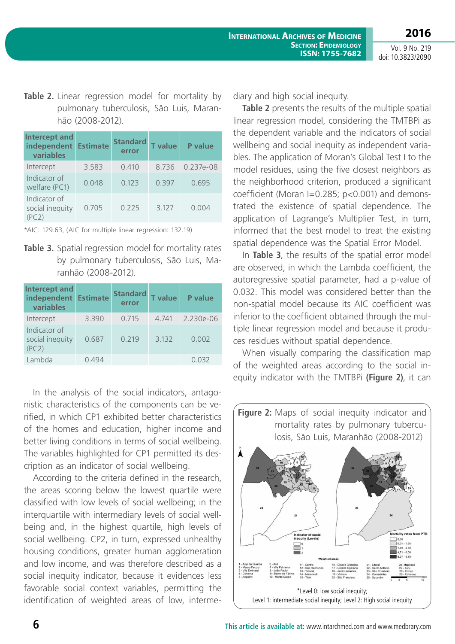Vol. 9 No. 219 doi: 10.3823/2090

**2016**

Table 2. Linear regression model for mortality by pulmonary tuberculosis, São Luis, Maranhão (2008-2012).

| <b>Intercept and</b><br>independent<br>variables | <b>Estimate</b> | <b>Standard</b><br>error | <b>T</b> value | <b>P</b> value |
|--------------------------------------------------|-----------------|--------------------------|----------------|----------------|
| Intercept                                        | 3.583           | 0.410                    | 8.736          | $0.237e-08$    |
| Indicator of<br>welfare (PC1)                    | 0.048           | 0.123                    | 0.397          | 0.695          |
| Indicator of<br>social inequity<br>(PC 2)        | 0.705           | 0.225                    | 3.127          | 0.004          |

\*AIC: 129.63, (AIC for multiple linear regression: 132.19)

**Table 3.** Spatial regression model for mortality rates by pulmonary tuberculosis, São Luis, Maranhão (2008-2012).

| Intercept and<br>independent<br>variables | <b>Estimate</b> | <b>Standard</b><br>error | <b>T</b> value | <b>P</b> value |
|-------------------------------------------|-----------------|--------------------------|----------------|----------------|
| Intercept                                 | 3.390           | 0.715                    | 4.741          | 2.230e-06      |
| Indicator of<br>social inequity<br>(PC2)  | 0.687           | 0.219                    | 3.132          | 0.002          |
| Lambda                                    | 0.494           |                          |                | 0.032          |

In the analysis of the social indicators, antagonistic characteristics of the components can be verified, in which CP1 exhibited better characteristics of the homes and education, higher income and better living conditions in terms of social wellbeing. The variables highlighted for CP1 permitted its description as an indicator of social wellbeing.

According to the criteria defined in the research, the areas scoring below the lowest quartile were classified with low levels of social wellbeing; in the interquartile with intermediary levels of social wellbeing and, in the highest quartile, high levels of social wellbeing. CP2, in turn, expressed unhealthy housing conditions, greater human agglomeration and low income, and was therefore described as a social inequity indicator, because it evidences less favorable social context variables, permitting the identification of weighted areas of low, intermediary and high social inequity.

**Table 2** presents the results of the multiple spatial linear regression model, considering the TMTBPi as the dependent variable and the indicators of social wellbeing and social inequity as independent variables. The application of Moran's Global Test I to the model residues, using the five closest neighbors as the neighborhood criterion, produced a significant coefficient (Moran I=0.285; p<0.001) and demonstrated the existence of spatial dependence. The application of Lagrange's Multiplier Test, in turn, informed that the best model to treat the existing spatial dependence was the Spatial Error Model.

In **Table 3**, the results of the spatial error model are observed, in which the Lambda coefficient, the autoregressive spatial parameter, had a p-value of 0.032. This model was considered better than the non-spatial model because its AIC coefficient was inferior to the coefficient obtained through the multiple linear regression model and because it produces residues without spatial dependence.

When visually comparing the classification map of the weighted areas according to the social inequity indicator with the TMTBPi **(Figure 2)**, it can

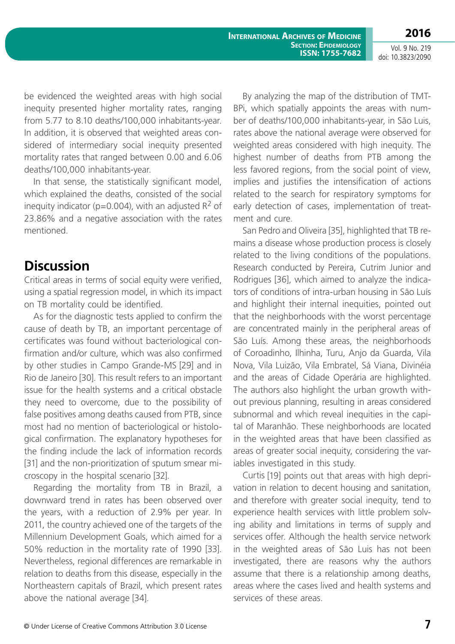Vol. 9 No. 219 doi: 10.3823/2090

**2016**

be evidenced the weighted areas with high social inequity presented higher mortality rates, ranging from 5.77 to 8.10 deaths/100,000 inhabitants-year. In addition, it is observed that weighted areas considered of intermediary social inequity presented mortality rates that ranged between 0.00 and 6.06 deaths/100,000 inhabitants-year.

In that sense, the statistically significant model, which explained the deaths, consisted of the social inequity indicator ( $p=0.004$ ), with an adjusted  $R^2$  of 23.86% and a negative association with the rates mentioned.

### **Discussion**

Critical areas in terms of social equity were verified, using a spatial regression model, in which its impact on TB mortality could be identified.

As for the diagnostic tests applied to confirm the cause of death by TB, an important percentage of certificates was found without bacteriological confirmation and/or culture, which was also confirmed by other studies in Campo Grande-MS [29] and in Rio de Janeiro [30]. This result refers to an important issue for the health systems and a critical obstacle they need to overcome, due to the possibility of false positives among deaths caused from PTB, since most had no mention of bacteriological or histological confirmation. The explanatory hypotheses for the finding include the lack of information records [31] and the non-prioritization of sputum smear microscopy in the hospital scenario [32].

Regarding the mortality from TB in Brazil, a downward trend in rates has been observed over the years, with a reduction of 2.9% per year. In 2011, the country achieved one of the targets of the Millennium Development Goals, which aimed for a 50% reduction in the mortality rate of 1990 [33]. Nevertheless, regional differences are remarkable in relation to deaths from this disease, especially in the Northeastern capitals of Brazil, which present rates above the national average [34].

By analyzing the map of the distribution of TMT-BPi, which spatially appoints the areas with number of deaths/100,000 inhabitants-year, in São Luis, rates above the national average were observed for weighted areas considered with high inequity. The highest number of deaths from PTB among the less favored regions, from the social point of view, implies and justifies the intensification of actions related to the search for respiratory symptoms for early detection of cases, implementation of treatment and cure.

San Pedro and Oliveira [35], highlighted that TB remains a disease whose production process is closely related to the living conditions of the populations. Research conducted by Pereira, Cutrim Junior and Rodrigues [36], which aimed to analyze the indicators of conditions of intra-urban housing in São Luís and highlight their internal inequities, pointed out that the neighborhoods with the worst percentage are concentrated mainly in the peripheral areas of São Luís. Among these areas, the neighborhoods of Coroadinho, Ilhinha, Turu, Anjo da Guarda, Vila Nova, Vila Luizão, Vila Embratel, Sá Viana, Divinéia and the areas of Cidade Operária are highlighted. The authors also highlight the urban growth without previous planning, resulting in areas considered subnormal and which reveal inequities in the capital of Maranhão. These neighborhoods are located in the weighted areas that have been classified as areas of greater social inequity, considering the variables investigated in this study.

Curtis [19] points out that areas with high deprivation in relation to decent housing and sanitation, and therefore with greater social inequity, tend to experience health services with little problem solving ability and limitations in terms of supply and services offer. Although the health service network in the weighted areas of São Luis has not been investigated, there are reasons why the authors assume that there is a relationship among deaths, areas where the cases lived and health systems and services of these areas.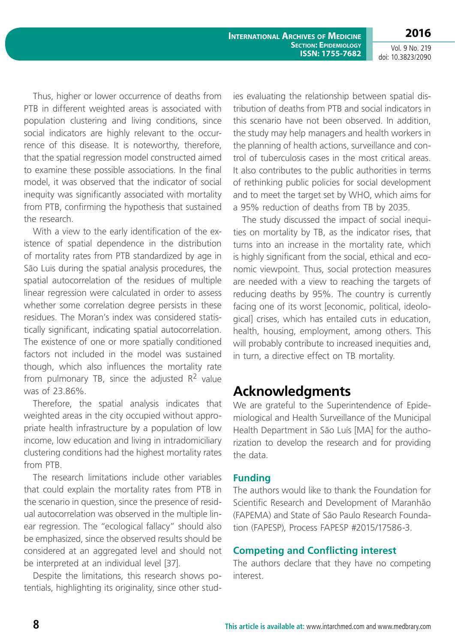**2016** Vol. 9 No. 219

doi: 10.3823/2090

Thus, higher or lower occurrence of deaths from PTB in different weighted areas is associated with population clustering and living conditions, since social indicators are highly relevant to the occurrence of this disease. It is noteworthy, therefore, that the spatial regression model constructed aimed to examine these possible associations. In the final model, it was observed that the indicator of social inequity was significantly associated with mortality from PTB, confirming the hypothesis that sustained the research.

With a view to the early identification of the existence of spatial dependence in the distribution of mortality rates from PTB standardized by age in São Luis during the spatial analysis procedures, the spatial autocorrelation of the residues of multiple linear regression were calculated in order to assess whether some correlation degree persists in these residues. The Moran's index was considered statistically significant, indicating spatial autocorrelation. The existence of one or more spatially conditioned factors not included in the model was sustained though, which also influences the mortality rate from pulmonary TB, since the adjusted  $R^2$  value was of 23.86%.

Therefore, the spatial analysis indicates that weighted areas in the city occupied without appropriate health infrastructure by a population of low income, low education and living in intradomiciliary clustering conditions had the highest mortality rates from PTB.

The research limitations include other variables that could explain the mortality rates from PTB in the scenario in question, since the presence of residual autocorrelation was observed in the multiple linear regression. The "ecological fallacy" should also be emphasized, since the observed results should be considered at an aggregated level and should not be interpreted at an individual level [37].

Despite the limitations, this research shows potentials, highlighting its originality, since other studies evaluating the relationship between spatial distribution of deaths from PTB and social indicators in this scenario have not been observed. In addition, the study may help managers and health workers in the planning of health actions, surveillance and control of tuberculosis cases in the most critical areas. It also contributes to the public authorities in terms of rethinking public policies for social development and to meet the target set by WHO, which aims for a 95% reduction of deaths from TB by 2035.

The study discussed the impact of social inequities on mortality by TB, as the indicator rises, that turns into an increase in the mortality rate, which is highly significant from the social, ethical and economic viewpoint. Thus, social protection measures are needed with a view to reaching the targets of reducing deaths by 95%. The country is currently facing one of its worst [economic, political, ideological] crises, which has entailed cuts in education, health, housing, employment, among others. This will probably contribute to increased inequities and, in turn, a directive effect on TB mortality.

## **Acknowledgments**

We are grateful to the Superintendence of Epidemiological and Health Surveillance of the Municipal Health Department in São Luís [MA] for the authorization to develop the research and for providing the data.

#### **Funding**

The authors would like to thank the Foundation for Scientific Research and Development of Maranhão (FAPEMA) and State of São Paulo Research Foundation (FAPESP), Process FAPESP #2015/17586-3.

### **Competing and Conflicting interest**

The authors declare that they have no competing interest.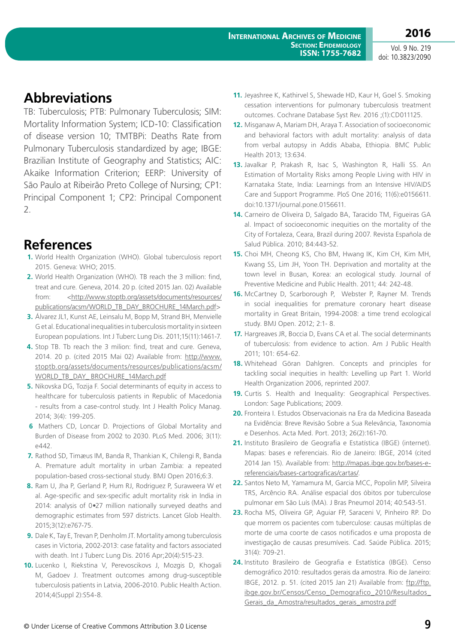Vol. 9 No. 219 doi: 10.3823/2090

## **Abbreviations**

TB: Tuberculosis; PTB: Pulmonary Tuberculosis; SIM: Mortality Information System; ICD-10: Classification of disease version 10; TMTBPi: Deaths Rate from Pulmonary Tuberculosis standardized by age; IBGE: Brazilian Institute of Geography and Statistics; AIC: Akaike Information Criterion; EERP: University of São Paulo at Ribeirão Preto College of Nursing; CP1: Principal Component 1; CP2: Principal Component 2.

## **References**

- **1.** World Health Organization (WHO). Global tuberculosis report 2015. Geneva: WHO; 2015.
- **2.** World Health Organization (WHO). TB reach the 3 million: find, treat and cure. Geneva, 2014. 20 p. (cited 2015 Jan. 02) Available from: [<http://www.stoptb.org/assets/documents/resources/](http://www.stoptb.org/assets/documents/resources/publications/acsm/WORLD_TB_DAY_BROCHURE_14March.pdf) [publications/acsm/WORLD\\_TB\\_DAY\\_BROCHURE\\_14March.pdf](http://www.stoptb.org/assets/documents/resources/publications/acsm/WORLD_TB_DAY_BROCHURE_14March.pdf)>
- **3.** Álvarez JL1, Kunst AE, Leinsalu M, Bopp M, Strand BH, Menvielle G et al. Educational inequalities in tuberculosis mortality in sixteen European populations. Int J Tuberc Lung Dis. 2011;15(11):1461-7.
- **4.** Stop TB. Tb reach the 3 milion: find, treat and cure. Geneva, 2014. 20 p. (cited 2015 Mai 02) Available from: [http://www.](http://www.stoptb.org/assets/documents/resources/publications/acsm/WORLD_TB_DAY_ BROCHURE_14March.pdf) [stoptb.org/assets/documents/resources/publications/acsm/](http://www.stoptb.org/assets/documents/resources/publications/acsm/WORLD_TB_DAY_ BROCHURE_14March.pdf) [WORLD\\_TB\\_DAY\\_ BROCHURE\\_14March.pdf](http://www.stoptb.org/assets/documents/resources/publications/acsm/WORLD_TB_DAY_ BROCHURE_14March.pdf)
- **5.** Nikovska DG, Tozija F. Social determinants of equity in access to healthcare for tuberculosis patients in Republic of Macedonia - results from a case-control study. Int J Health Policy Manag. 2014; 3(4): 199-205.
- **6** Mathers CD, Loncar D. Projections of Global Mortality and Burden of Disease from 2002 to 2030. PLoS Med. 2006; 3(11): e442.
- **7.** Rathod SD, Timæus IM, Banda R, Thankian K, Chilengi R, Banda A. Premature adult mortality in urban Zambia: a repeated population-based cross-sectional study. BMJ Open 2016;6:3.
- **8.** Ram U, Jha P, Gerland P, Hum RJ, Rodriguez P, Suraweera W et al. Age-specific and sex-specific adult mortality risk in India in 2014: analysis of 0•27 million nationally surveyed deaths and demographic estimates from 597 districts. Lancet Glob Health. 2015;3(12):e767-75.
- **9.** Dale K, Tay E, Trevan P, Denholm JT. Mortality among tuberculosis cases in Victoria, 2002-2013: case fatality and factors associated with death. Int J Tuberc Lung Dis. 2016 Apr;20(4):515-23.
- **10.** Lucenko I, Riekstina V, Perevoscikovs J, Mozgis D, Khogali M, Gadoev J. Treatment outcomes among drug-susceptible tuberculosis patients in Latvia, 2006-2010. Public Health Action. 2014;4(Suppl 2):S54-8.
- **11.** Jeyashree K, Kathirvel S, Shewade HD, Kaur H, Goel S. Smoking cessation interventions for pulmonary tuberculosis treatment outcomes. Cochrane Database Syst Rev. 2016 ;(1):CD011125.
- **12.** Misganaw A, Mariam DH, Araya T. Association of socioeconomic and behavioral factors with adult mortality: analysis of data from verbal autopsy in Addis Ababa, Ethiopia. BMC Public Health 2013; 13:634.
- **13.** Javalkar P, Prakash R, Isac S, Washington R, Halli SS. An Estimation of Mortality Risks among People Living with HIV in Karnataka State, India: Learnings from an Intensive HIV/AIDS Care and Support Programme. PloS One 2016; 11(6):e0156611. doi:10.1371/journal.pone.0156611.
- **14.** Carneiro de Oliveira D, Salgado BA, Taracido TM, Figueiras GA al. Impact of socioeconomic inequities on the mortality of the City of Fortaleza, Ceara, Brazil during 2007. Revista Española de Salud Pública. 2010; 84:443-52.
- **15.** Choi MH, Cheong KS, Cho BM, Hwang IK, Kim CH, Kim MH, Kwang SS, Lim JH, Yoon TH. Deprivation and mortality at the town level in Busan, Korea: an ecological study. Journal of Preventive Medicine and Public Health. 2011; 44: 242-48.
- **16.** McCartney D, Scarborough P, Webster P, Rayner M. Trends in social inequalities for premature coronary heart disease mortality in Great Britain, 1994-2008: a time trend ecological study. BMJ Open. 2012; 2:1- 8.
- **17.** Hargreaves JR, Boccia D, Evans CA et al. The social determinants of tuberculosis: from evidence to action. Am J Public Health 2011; 101: 654-62.
- **18.** Whitehead Göran Dahlgren. Concepts and principles for tackling social inequities in health: Levelling up Part 1. World Health Organization 2006, reprinted 2007.
- **19.** Curtis S. Health and Inequality: Geographical Perspectives. London: Sage Publications; 2009.
- **20.** Fronteira I. Estudos Observacionais na Era da Medicina Baseada na Evidência: Breve Revisão Sobre a Sua Relevância, Taxonomia e Desenhos. Acta Med. Port. 2013; 26(2):161-70.
- **21.** Instituto Brasileiro de Geografia e Estatística (IBGE) (internet). Mapas: bases e referenciais. Rio de Janeiro: IBGE, 2014 (cited 2014 Jan 15). Available from: [http://mapas.ibge.gov.br/bases-e](http://mapas.ibge.gov.br/bases-e-referenciais/bases-cartograficas/cartas/)[referenciais/bases-cartograficas/cartas/.](http://mapas.ibge.gov.br/bases-e-referenciais/bases-cartograficas/cartas/)
- **22.** Santos Neto M, Yamamura M, Garcia MCC, Popolin MP, Silveira TRS, Arcêncio RA. Análise espacial dos óbitos por tuberculose pulmonar em São Luís (MA). J Bras Pneumol 2014; 40:543-51.
- **23.** Rocha MS, Oliveira GP, Aguiar FP, Saraceni V, Pinheiro RP. Do que morrem os pacientes com tuberculose: causas múltiplas de morte de uma coorte de casos notificados e uma proposta de investigação de causas presumíveis. Cad. Saúde Pública. 2015; 31(4): 709-21.
- **24.** Instituto Brasileiro de Geografia e Estatística (IBGE). Censo demográfico 2010: resultados gerais da amostra. Rio de Janeiro: IBGE, 2012. p. 51. (cited 2015 Jan 21) Available from: [ftp://ftp.](ftp://ftp.ibge.gov.br/Censos/Censo_Demografico_2010/Resultados_Gerais_da_Amostra/resultados_gerais_amostra.pdf) [ibge.gov.br/Censos/Censo\\_Demografico\\_2010/Resultados\\_](ftp://ftp.ibge.gov.br/Censos/Censo_Demografico_2010/Resultados_Gerais_da_Amostra/resultados_gerais_amostra.pdf) [Gerais\\_da\\_Amostra/resultados\\_gerais\\_amostra.pdf](ftp://ftp.ibge.gov.br/Censos/Censo_Demografico_2010/Resultados_Gerais_da_Amostra/resultados_gerais_amostra.pdf)